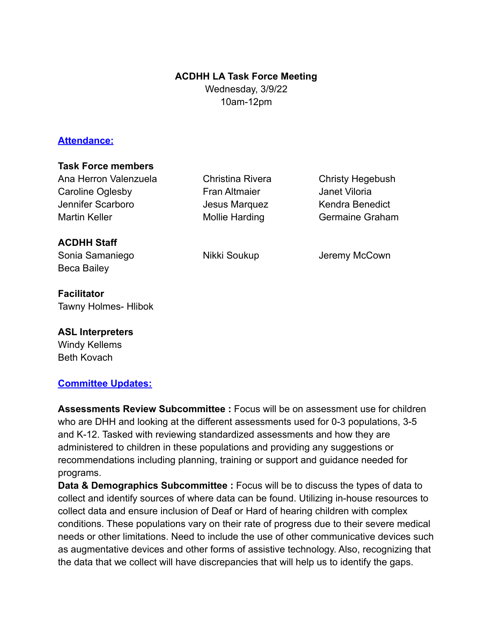#### **ACDHH LA Task Force Meeting**

Wednesday, 3/9/22 10am-12pm

### **Attendance:**

#### **Task Force members**

Ana Herron Valenzuela Christina Rivera Christy Hegebush Caroline Oglesby **Fran Altmaier** Janet Viloria Jennifer Scarboro Jesus Marquez Kendra Benedict Martin Keller **Mollie Harding** Germaine Graham

**ACDHH Staff**

Beca Bailey

**Facilitator** Tawny Holmes- Hlibok

**ASL Interpreters** Windy Kellems Beth Kovach

## **Committee Updates:**

Sonia Samaniego **Nikki Soukup** Jeremy McCown

**Assessments Review Subcommittee :** Focus will be on assessment use for children who are DHH and looking at the different assessments used for 0-3 populations, 3-5 and K-12. Tasked with reviewing standardized assessments and how they are administered to children in these populations and providing any suggestions or recommendations including planning, training or support and guidance needed for programs.

**Data & Demographics Subcommittee :** Focus will be to discuss the types of data to collect and identify sources of where data can be found. Utilizing in-house resources to collect data and ensure inclusion of Deaf or Hard of hearing children with complex conditions. These populations vary on their rate of progress due to their severe medical needs or other limitations. Need to include the use of other communicative devices such as augmentative devices and other forms of assistive technology. Also, recognizing that the data that we collect will have discrepancies that will help us to identify the gaps.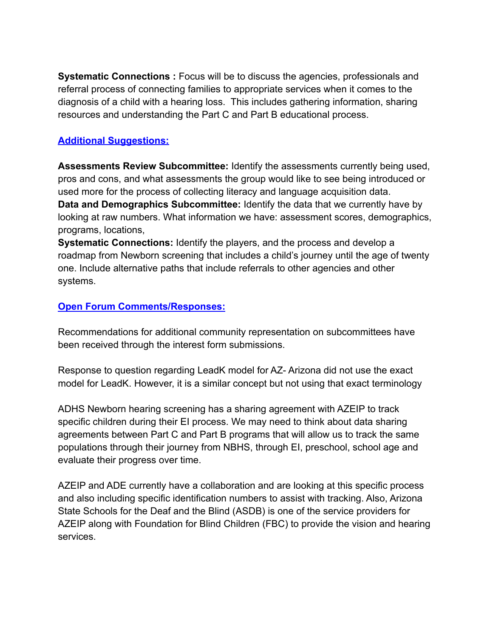**Systematic Connections :** Focus will be to discuss the agencies, professionals and referral process of connecting families to appropriate services when it comes to the diagnosis of a child with a hearing loss. This includes gathering information, sharing resources and understanding the Part C and Part B educational process.

# **Additional Suggestions:**

**Assessments Review Subcommittee:** Identify the assessments currently being used, pros and cons, and what assessments the group would like to see being introduced or used more for the process of collecting literacy and language acquisition data. **Data and Demographics Subcommittee:** Identify the data that we currently have by looking at raw numbers. What information we have: assessment scores, demographics, programs, locations,

**Systematic Connections:** Identify the players, and the process and develop a roadmap from Newborn screening that includes a child's journey until the age of twenty one. Include alternative paths that include referrals to other agencies and other systems.

## **Open Forum Comments/Responses:**

Recommendations for additional community representation on subcommittees have been received through the interest form submissions.

Response to question regarding LeadK model for AZ- Arizona did not use the exact model for LeadK. However, it is a similar concept but not using that exact terminology

ADHS Newborn hearing screening has a sharing agreement with AZEIP to track specific children during their EI process. We may need to think about data sharing agreements between Part C and Part B programs that will allow us to track the same populations through their journey from NBHS, through EI, preschool, school age and evaluate their progress over time.

AZEIP and ADE currently have a collaboration and are looking at this specific process and also including specific identification numbers to assist with tracking. Also, Arizona State Schools for the Deaf and the Blind (ASDB) is one of the service providers for AZEIP along with Foundation for Blind Children (FBC) to provide the vision and hearing services.